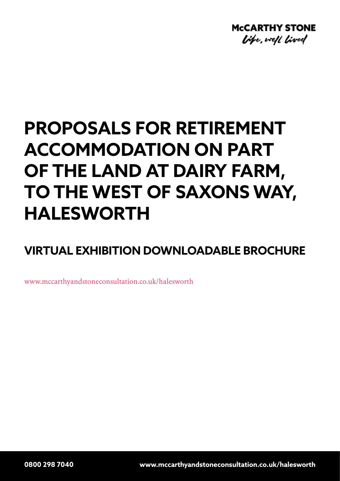

# **PROPOSALS FOR RETIREMENT ACCOMMODATION ON PART OF THE LAND AT DAIRY FARM, TO THE WEST OF SAXONS WAY, HALESWORTH**

**VIRTUAL EXHIBITION DOWNLOADABLE BROCHURE**

www.mccarthyandstoneconsultation.co.uk/halesworth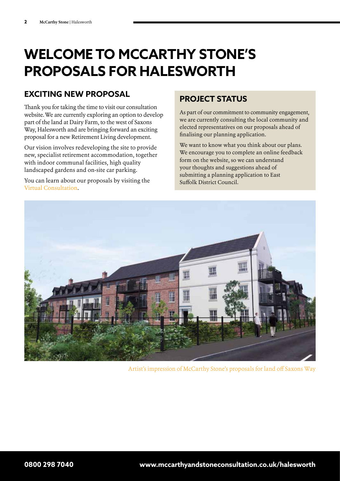### **WELCOME TO MCCARTHY STONE'S PROPOSALS FOR HALESWORTH**

### **EXCITING NEW PROPOSAL**

Thank you for taking the time to visit our consultation website. We are currently exploring an option to develop part of the land at Dairy Farm, to the west of Saxons Way, Halesworth and are bringing forward an exciting proposal for a new Retirement Living development.

Our vision involves redeveloping the site to provide new, specialist retirement accommodation, together with indoor communal facilities, high quality landscaped gardens and on-site car parking.

You can learn about our proposals by visiting the Virtual Consultation.

### **PROJECT STATUS**

As part of our commitment to community engagement, we are currently consulting the local community and elected representatives on our proposals ahead of finalising our planning application.

We want to know what you think about our plans. We encourage you to complete an online feedback form on the website, so we can understand your thoughts and suggestions ahead of submitting a planning application to East Suffolk District Council.



Artist's impression of McCarthy Stone's proposals for land off Saxons Way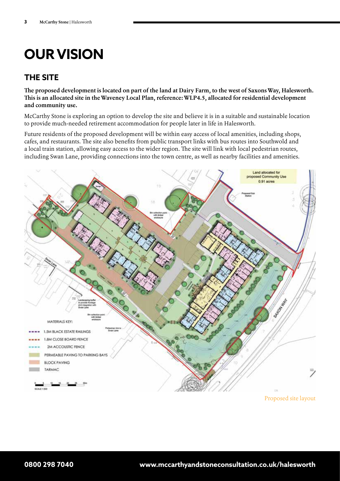## **OUR VISION**

### **THE SITE**

**The proposed development is located on part of the land at Dairy Farm, to the west of Saxons Way, Halesworth. This is an allocated site in the Waveney Local Plan, reference: WLP4.5, allocated for residential development and community use.**

McCarthy Stone is exploring an option to develop the site and believe it is in a suitable and sustainable location to provide much-needed retirement accommodation for people later in life in Halesworth.

Future residents of the proposed development will be within easy access of local amenities, including shops, cafes, and restaurants. The site also benefits from public transport links with bus routes into Southwold and a local train station, allowing easy access to the wider region. The site will link with local pedestrian routes, including Swan Lane, providing connections into the town centre, as well as nearby facilities and amenities.



Proposed site layout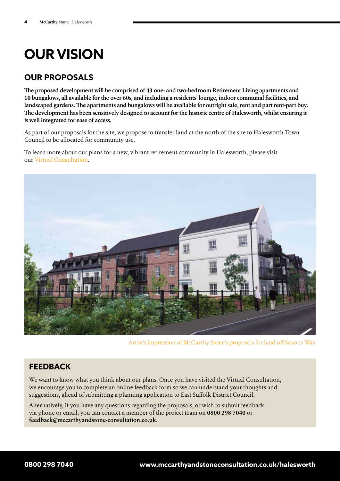## **OUR VISION**

### **OUR PROPOSALS**

**The proposed development will be comprised of 43 one- and two-bedroom Retirement Living apartments and 10 bungalows, all available for the over 60s, and including a residents' lounge, indoor communal facilities, and landscaped gardens. The apartments and bungalows will be available for outright sale, rent and part rent-part buy. The development has been sensitively designed to account for the historic centre of Halesworth, whilst ensuring it is well integrated for ease of access.** 

As part of our proposals for the site, we propose to transfer land at the north of the site to Halesworth Town Council to be allocated for community use.

To learn more about our plans for a new, vibrant retirement community in Halesworth, please visit our Virtual Consultation.



Artist's impression of McCarthy Stone's proposals for land off Saxons Way

### **FEEDBACK**

We want to know what you think about our plans. Once you have visited the Virtual Consultation, we encourage you to complete an online feedback form so we can understand your thoughts and suggestions, ahead of submitting a planning application to East Suffolk District Council.

Alternatively, if you have any questions regarding the proposals, or wish to submit feedback via phone or email, you can contact a member of the project team on **0800 298 7040** or **feedback@mccarthyandstone-consultation.co.uk**.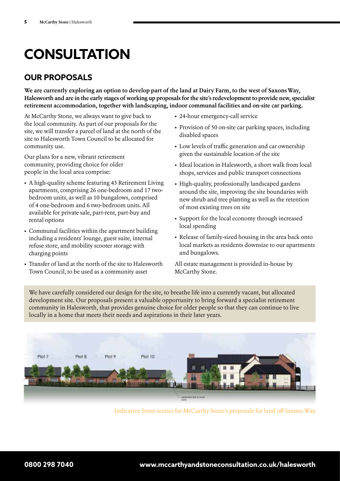## **CONSULTATION**

### **OUR PROPOSALS**

**We are currently exploring an option to develop part of the land at Dairy Farm, to the west of Saxons Way, Halesworth and are in the early stages of working up proposals for the site's redevelopment to provide new, specialist retirement accommodation, together with landscaping, indoor communal facilities and on-site car parking.**

At McCarthy Stone, we always want to give back to the local community. As part of our proposals for the site, we will transfer a parcel of land at the north of the site to Halesworth Town Council to be allocated for community use.

Our plans for a new, vibrant retirement community, providing choice for older people in the local area comprise:

- A high-quality scheme featuring 43 Retirement Living apartments, comprising 26 one-bedroom and 17 twobedroom units, as well as 10 bungalows, comprised of 4 one-bedroom and 6 two-bedroom units. All available for private sale, part-rent, part-buy and rental options
- Communal facilities within the apartment building including a residents' lounge, guest suite, internal refuse store, and mobility scooter storage with charging points
- Transfer of land at the north of the site to Halesworth Town Council, to be used as a community asset
- 24-hour emergency-call service
- Provision of 50 on-site car parking spaces, including disabled spaces
- Low levels of traffic generation and car ownership given the sustainable location of the site
- Ideal location in Halesworth, a short walk from local shops, services and public transport connections
- High-quality, professionally landscaped gardens around the site, improving the site boundaries with new shrub and tree planting as well as the retention of most existing trees on site
- Support for the local economy through increased local spending
- Release of family-sized housing in the area back onto local markets as residents downsize to our apartments and bungalows.

All estate management is provided in-house by McCarthy Stone.

We have carefully considered our design for the site, to breathe life into a currently vacant, but allocated development site. Our proposals present a valuable opportunity to bring forward a specialist retirement community in Halesworth, that provides genuine choice for older people so that they can continue to live locally in a home that meets their needs and aspirations in their later years.



Indicative Street scenes for McCarthy Stone's proposals for land off Saxons Way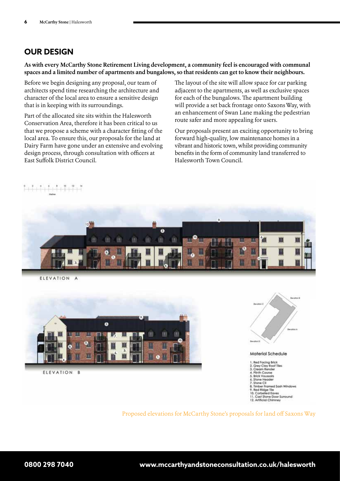#### **OUR DESIGN**

**As with every McCarthy Stone Retirement Living development, a community feel is encouraged with communal spaces and a limited number of apartments and bungalows, so that residents can get to know their neighbours.**

Before we begin designing any proposal, our team of architects spend time researching the architecture and character of the local area to ensure a sensitive design that is in keeping with its surroundings.

Part of the allocated site sits within the Halesworth Conservation Area, therefore it has been critical to us that we propose a scheme with a character fitting of the local area. To ensure this, our proposals for the land at Dairy Farm have gone under an extensive and evolving design process, through consultation with officers at East Suffolk District Council.

 $\frac{1}{2}$ 

The layout of the site will allow space for car parking adjacent to the apartments, as well as exclusive spaces for each of the bungalows. The apartment building will provide a set back frontage onto Saxons Way, with an enhancement of Swan Lane making the pedestrian route safer and more appealing for users.

Our proposals present an exciting opportunity to bring forward high-quality, low maintenance homes in a vibrant and historic town, whilst providing community benefits in the form of community land transferred to Halesworth Town Council.



ELEVATION

ed Facing Brick 2. Grey Clay Roof Tiles<br>3. Cream Render<br>4. Plinth Course 5. Brick Voussoirs 5. Brick Voussoits<br>6. Stone Header<br>7. Stone Cli<br>8. Timber Framed Sa<br>9. Red Ridge Tile<br>10. Corbelled Eaves ed Sash Windows 11. Cast Stone Door Surround

12 Artificieil Chimner

Proposed elevations for McCarthy Stone's proposals for land off Saxons Way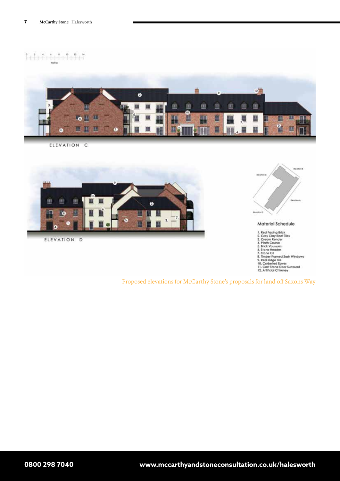

ELEVATION  $\mathbf{C}$ 



```
ELEVATION
D
```


Material Schedule

1. Red Facing Brick<br>2. Grey Clay Roof Tles<br>3. Cream Render<br>4. Plinth Course<br>5. Brick Voussolrs<br>4. Stone Fleader<br>7. Shone Clay<br>6. Throme Clay<br>10. Corbelled Eaves<br>11. Cast Ridge Tle<br>11. Cast Stone Door Surround<br>12. Artificia

Proposed elevations for McCarthy Stone's proposals for land off Saxons Way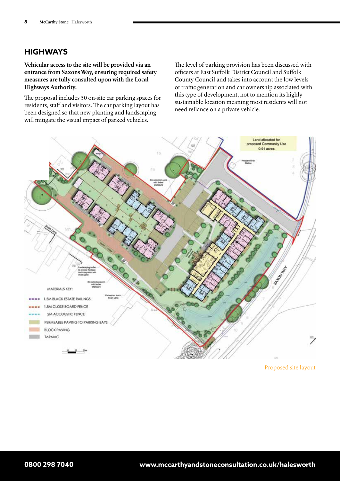### **HIGHWAYS**

**Vehicular access to the site will be provided via an entrance from Saxons Way, ensuring required safety measures are fully consulted upon with the Local Highways Authority.** 

The proposal includes 50 on-site car parking spaces for residents, staff and visitors. The car parking layout has been designed so that new planting and landscaping will mitigate the visual impact of parked vehicles.

The level of parking provision has been discussed with officers at East Suffolk District Council and Suffolk County Council and takes into account the low levels of traffic generation and car ownership associated with this type of development, not to mention its highly sustainable location meaning most residents will not need reliance on a private vehicle.



Proposed site layout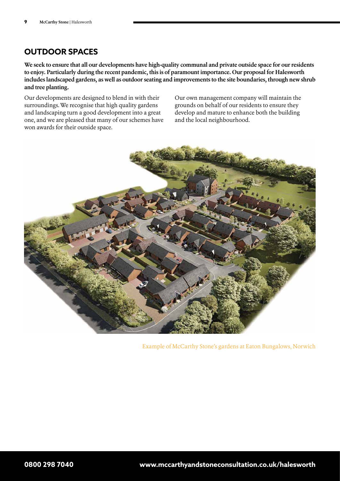### **OUTDOOR SPACES**

**We seek to ensure that all our developments have high-quality communal and private outside space for our residents to enjoy. Particularly during the recent pandemic, this is of paramount importance. Our proposal for Halesworth includes landscaped gardens, as well as outdoor seating and improvements to the site boundaries, through new shrub and tree planting.**

Our developments are designed to blend in with their surroundings. We recognise that high quality gardens and landscaping turn a good development into a great one, and we are pleased that many of our schemes have won awards for their outside space.

Our own management company will maintain the grounds on behalf of our residents to ensure they develop and mature to enhance both the building and the local neighbourhood.



Example of McCarthy Stone's gardens at Eaton Bungalows, Norwich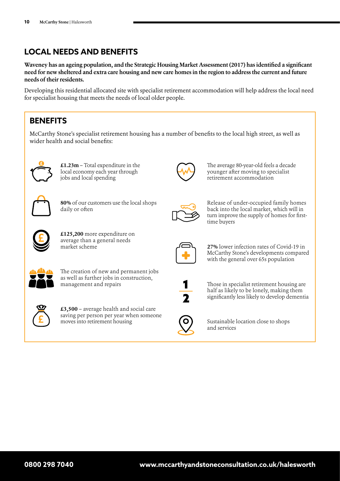### **LOCAL NEEDS AND BENEFITS**

**Waveney has an ageing population, and the Strategic Housing Market Assessment (2017) has identified a significant need for new sheltered and extra care housing and new care homes in the region to address the current and future needs of their residents.**

Developing this residential allocated site with specialist retirement accommodation will help address the local need for specialist housing that meets the needs of local older people.

### **BENEFITS**

McCarthy Stone's specialist retirement housing has a number of benefits to the local high street, as well as wider health and social benefits:



**£1.23m** – Total expenditure in the local economy each year through jobs and local spending



**80%** of our customers use the local shops daily or often



The average 80-year-old feels a decade younger after moving to specialist retirement accommodation



Release of under-occupied family homes back into the local market, which will in turn improve the supply of homes for firsttime buyers



**£125,200** more expenditure on average than a general needs market scheme



**27%** lower infection rates of Covid-19 in McCarthy Stone's developments compared with the general over 65s population



Those in specialist retirement housing are half as likely to be lonely, making them significantly less likely to develop dementia



Sustainable location close to shops and services



The creation of new and permanent jobs as well as further jobs in construction, management and repairs



**£3,500** – average health and social care saving per person per year when someone moves into retirement housing